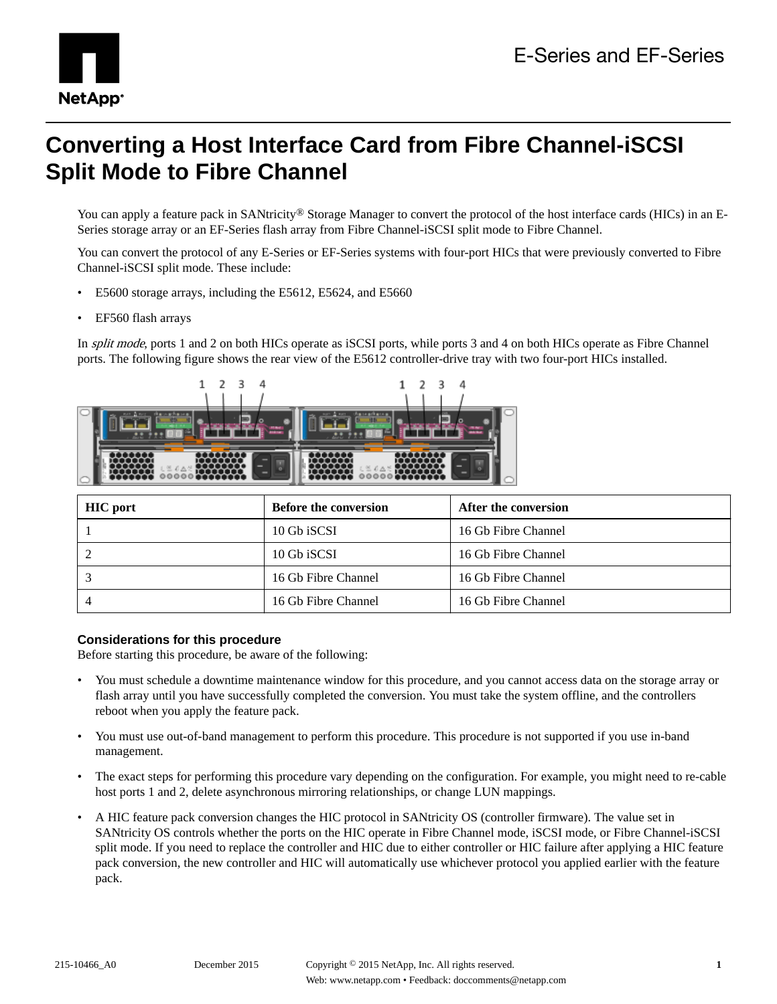

# **Converting a Host Interface Card from Fibre Channel-iSCSI Split Mode to Fibre Channel**

You can apply a feature pack in SANtricity<sup>®</sup> Storage Manager to convert the protocol of the host interface cards (HICs) in an E-Series storage array or an EF-Series flash array from Fibre Channel-iSCSI split mode to Fibre Channel.

You can convert the protocol of any E-Series or EF-Series systems with four-port HICs that were previously converted to Fibre Channel-iSCSI split mode. These include:

- E5600 storage arrays, including the E5612, E5624, and E5660
- EF560 flash arrays

In *split mode*, ports 1 and 2 on both HICs operate as iSCSI ports, while ports 3 and 4 on both HICs operate as Fibre Channel ports. The following figure shows the rear view of the E5612 controller-drive tray with two four-port HICs installed.



| <b>HIC</b> port | <b>Before the conversion</b> | After the conversion |
|-----------------|------------------------------|----------------------|
|                 | 10 Gb iSCSI                  | 16 Gb Fibre Channel  |
|                 | 10 Gb iSCSI                  | 16 Gb Fibre Channel  |
|                 | 16 Gb Fibre Channel          | 16 Gb Fibre Channel  |
|                 | 16 Gb Fibre Channel          | 16 Gb Fibre Channel  |

### **Considerations for this procedure**

Before starting this procedure, be aware of the following:

- You must schedule a downtime maintenance window for this procedure, and you cannot access data on the storage array or flash array until you have successfully completed the conversion. You must take the system offline, and the controllers reboot when you apply the feature pack.
- You must use out-of-band management to perform this procedure. This procedure is not supported if you use in-band management.
- The exact steps for performing this procedure vary depending on the configuration. For example, you might need to re-cable host ports 1 and 2, delete asynchronous mirroring relationships, or change LUN mappings.
- A HIC feature pack conversion changes the HIC protocol in SANtricity OS (controller firmware). The value set in SANtricity OS controls whether the ports on the HIC operate in Fibre Channel mode, iSCSI mode, or Fibre Channel-iSCSI split mode. If you need to replace the controller and HIC due to either controller or HIC failure after applying a HIC feature pack conversion, the new controller and HIC will automatically use whichever protocol you applied earlier with the feature pack.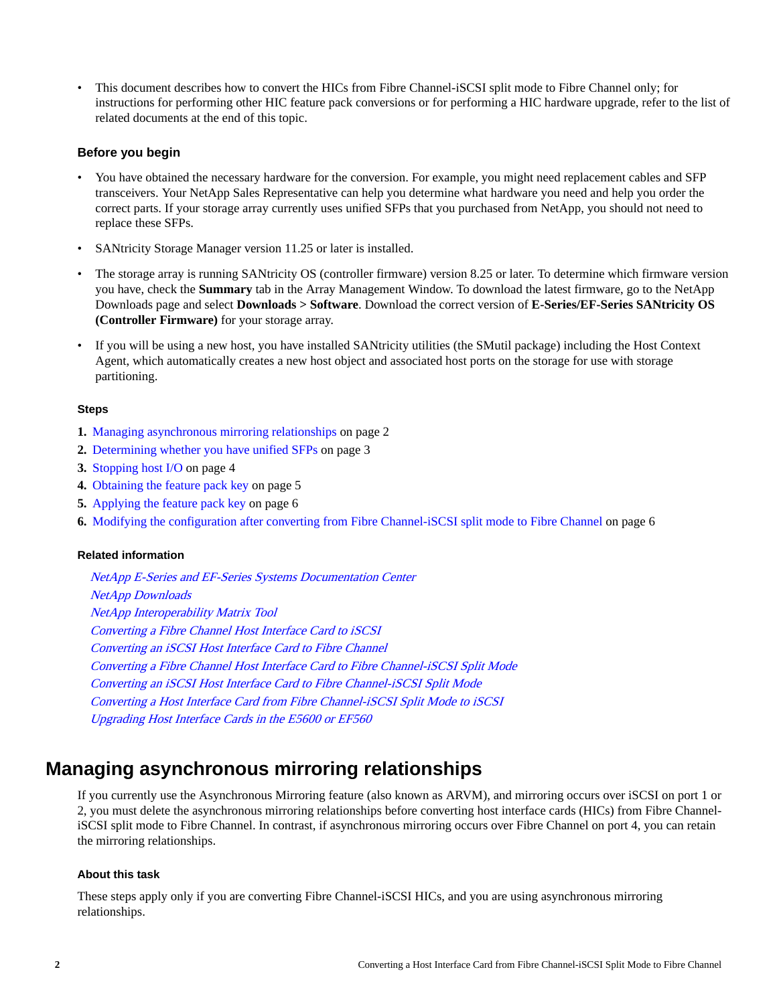• This document describes how to convert the HICs from Fibre Channel-iSCSI split mode to Fibre Channel only; for instructions for performing other HIC feature pack conversions or for performing a HIC hardware upgrade, refer to the list of related documents at the end of this topic.

### **Before you begin**

- You have obtained the necessary hardware for the conversion. For example, you might need replacement cables and SFP transceivers. Your NetApp Sales Representative can help you determine what hardware you need and help you order the correct parts. If your storage array currently uses unified SFPs that you purchased from NetApp, you should not need to replace these SFPs.
- SANtricity Storage Manager version 11.25 or later is installed.
- The storage array is running SANtricity OS (controller firmware) version 8.25 or later. To determine which firmware version you have, check the **Summary** tab in the Array Management Window. To download the latest firmware, go to the NetApp Downloads page and select **Downloads > Software**. Download the correct version of **E-Series/EF-Series SANtricity OS (Controller Firmware)** for your storage array.
- If you will be using a new host, you have installed SANtricity utilities (the SMutil package) including the Host Context Agent, which automatically creates a new host object and associated host ports on the storage for use with storage partitioning.

### **Steps**

- **1.** Managing asynchronous mirroring relationships on page 2
- **2.** [Determining whether you have unified SFPs](#page-2-0) on page 3
- **3.** [Stopping host I/O](#page-3-0) on page 4
- **4.** [Obtaining the feature pack key](#page-4-0) on page 5
- **5.** [Applying the feature pack key](#page-5-0) on page 6
- **6.** [Modifying the configuration after converting from Fibre Channel-iSCSI split mode to Fibre Channel](#page-5-0) on page 6

### **Related information**

[NetApp E-Series and EF-Series Systems Documentation Center](http://mysupport.netapp.com/info/web/ECMP1658252.html) [NetApp Downloads](http://mysupport.netapp.com/eservice/Download.jsp/) [NetApp Interoperability Matrix Tool](http://mysupport.netapp.com/matrix) [Converting a Fibre Channel Host Interface Card to iSCSI](https://library.netapp.com/ecm/ecm_download_file/ECMP12432518) [Converting an iSCSI Host Interface Card to Fibre Channel](https://library.netapp.com/ecm/ecm_download_file/ECMP12396179) [Converting a Fibre Channel Host Interface Card to Fibre Channel-iSCSI Split Mode](https://library.netapp.com/ecm/ecm_download_file/ECMLP2316654) [Converting an iSCSI Host Interface Card to Fibre Channel-iSCSI Split Mode](https://library.netapp.com/ecm/ecm_download_file/ECMLP2316695) [Converting a Host Interface Card from Fibre Channel-iSCSI Split Mode to iSCSI](https://library.netapp.com/ecm/ecm_download_file/ECMLP2316708) [Upgrading Host Interface Cards in the E5600 or EF560](https://library.netapp.com/ecm/ecm_download_file/ECMP1552930)

### **Managing asynchronous mirroring relationships**

If you currently use the Asynchronous Mirroring feature (also known as ARVM), and mirroring occurs over iSCSI on port 1 or 2, you must delete the asynchronous mirroring relationships before converting host interface cards (HICs) from Fibre ChanneliSCSI split mode to Fibre Channel. In contrast, if asynchronous mirroring occurs over Fibre Channel on port 4, you can retain the mirroring relationships.

### **About this task**

These steps apply only if you are converting Fibre Channel-iSCSI HICs, and you are using asynchronous mirroring relationships.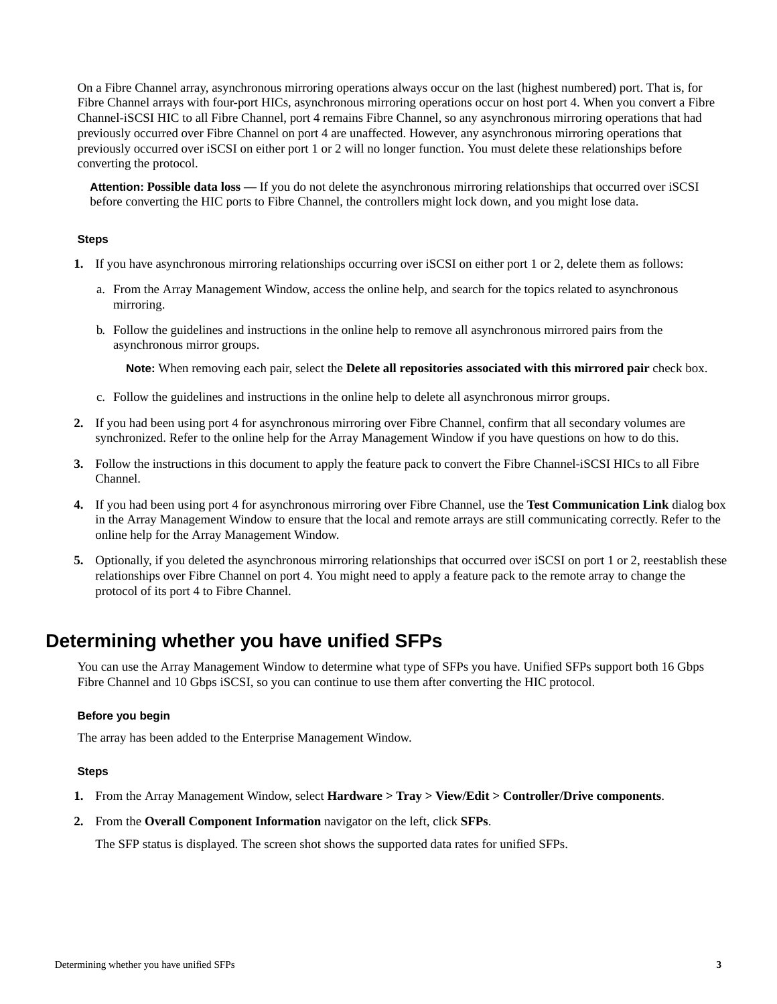<span id="page-2-0"></span>On a Fibre Channel array, asynchronous mirroring operations always occur on the last (highest numbered) port. That is, for Fibre Channel arrays with four-port HICs, asynchronous mirroring operations occur on host port 4. When you convert a Fibre Channel-iSCSI HIC to all Fibre Channel, port 4 remains Fibre Channel, so any asynchronous mirroring operations that had previously occurred over Fibre Channel on port 4 are unaffected. However, any asynchronous mirroring operations that previously occurred over iSCSI on either port 1 or 2 will no longer function. You must delete these relationships before converting the protocol.

**Attention: Possible data loss —** If you do not delete the asynchronous mirroring relationships that occurred over iSCSI before converting the HIC ports to Fibre Channel, the controllers might lock down, and you might lose data.

### **Steps**

- **1.** If you have asynchronous mirroring relationships occurring over iSCSI on either port 1 or 2, delete them as follows:
	- a. From the Array Management Window, access the online help, and search for the topics related to asynchronous mirroring.
	- b. Follow the guidelines and instructions in the online help to remove all asynchronous mirrored pairs from the asynchronous mirror groups.

**Note:** When removing each pair, select the **Delete all repositories associated with this mirrored pair** check box.

- c. Follow the guidelines and instructions in the online help to delete all asynchronous mirror groups.
- **2.** If you had been using port 4 for asynchronous mirroring over Fibre Channel, confirm that all secondary volumes are synchronized. Refer to the online help for the Array Management Window if you have questions on how to do this.
- **3.** Follow the instructions in this document to apply the feature pack to convert the Fibre Channel-iSCSI HICs to all Fibre Channel.
- **4.** If you had been using port 4 for asynchronous mirroring over Fibre Channel, use the **Test Communication Link** dialog box in the Array Management Window to ensure that the local and remote arrays are still communicating correctly. Refer to the online help for the Array Management Window.
- **5.** Optionally, if you deleted the asynchronous mirroring relationships that occurred over iSCSI on port 1 or 2, reestablish these relationships over Fibre Channel on port 4. You might need to apply a feature pack to the remote array to change the protocol of its port 4 to Fibre Channel.

### **Determining whether you have unified SFPs**

You can use the Array Management Window to determine what type of SFPs you have. Unified SFPs support both 16 Gbps Fibre Channel and 10 Gbps iSCSI, so you can continue to use them after converting the HIC protocol.

### **Before you begin**

The array has been added to the Enterprise Management Window.

### **Steps**

- **1.** From the Array Management Window, select **Hardware > Tray > View/Edit > Controller/Drive components**.
- **2.** From the **Overall Component Information** navigator on the left, click **SFPs**.

The SFP status is displayed. The screen shot shows the supported data rates for unified SFPs.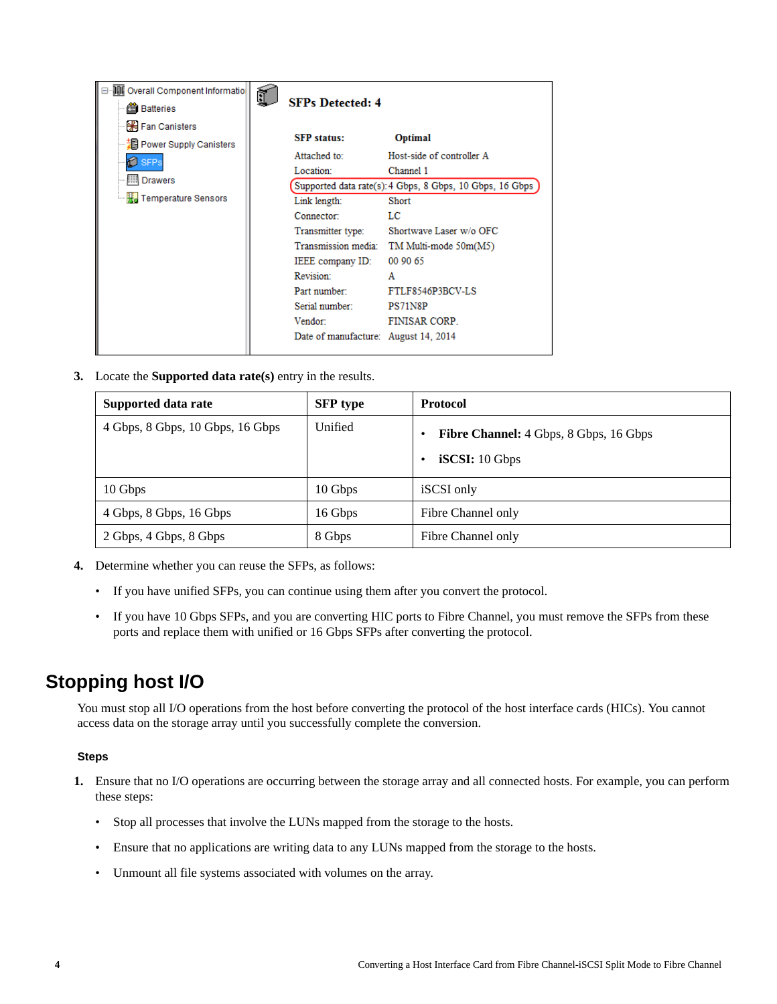<span id="page-3-0"></span>

| <b>JUL</b> Overall Component Informatio<br><b>当</b> Batteries                                                               | <b>SFPs Detected: 4</b>                                                                                                                                                                                                                        |                                                                                                                                                                                                                                                          |
|-----------------------------------------------------------------------------------------------------------------------------|------------------------------------------------------------------------------------------------------------------------------------------------------------------------------------------------------------------------------------------------|----------------------------------------------------------------------------------------------------------------------------------------------------------------------------------------------------------------------------------------------------------|
| <b>H</b> Fan Canisters<br>┈월라 Power Supply Canisters<br><b>SFPs</b><br><b>IIII</b> Drawers<br><b>He</b> Temperature Sensors | <b>SFP</b> status:<br>Attached to:<br>Location:<br>Link length:<br>Connector:<br>Transmitter type:<br>Transmission media:<br>IEEE company ID:<br>Revision:<br>Part number<br>Serial number:<br>Vendor:<br>Date of manufacture: August 14, 2014 | Optimal<br>Host-side of controller A<br>Channel 1<br>Supported data rate(s): 4 Gbps, 8 Gbps, 10 Gbps, 16 Gbps<br>Short<br>LС<br>Shortwave Laser w/o OFC<br>TM Multi-mode 50m(M5)<br>00 90 65<br>A<br>FTLF8546P3BCV-LS<br>PS71N8P<br><b>FINISAR CORP.</b> |
|                                                                                                                             |                                                                                                                                                                                                                                                |                                                                                                                                                                                                                                                          |

**3.** Locate the **Supported data rate(s)** entry in the results.

| Supported data rate              | <b>SFP</b> type | <b>Protocol</b>                                          |
|----------------------------------|-----------------|----------------------------------------------------------|
| 4 Gbps, 8 Gbps, 10 Gbps, 16 Gbps | Unified         | Fibre Channel: 4 Gbps, 8 Gbps, 16 Gbps<br>iSCSI: 10 Gbps |
| 10 Gbps                          | 10 Gbps         | iSCSI only                                               |
| 4 Gbps, 8 Gbps, 16 Gbps          | 16 Gbps         | Fibre Channel only                                       |
| 2 Gbps, 4 Gbps, 8 Gbps           | 8 Gbps          | Fibre Channel only                                       |

- **4.** Determine whether you can reuse the SFPs, as follows:
	- If you have unified SFPs, you can continue using them after you convert the protocol.
	- If you have 10 Gbps SFPs, and you are converting HIC ports to Fibre Channel, you must remove the SFPs from these ports and replace them with unified or 16 Gbps SFPs after converting the protocol.

## **Stopping host I/O**

You must stop all I/O operations from the host before converting the protocol of the host interface cards (HICs). You cannot access data on the storage array until you successfully complete the conversion.

### **Steps**

- **1.** Ensure that no I/O operations are occurring between the storage array and all connected hosts. For example, you can perform these steps:
	- Stop all processes that involve the LUNs mapped from the storage to the hosts.
	- Ensure that no applications are writing data to any LUNs mapped from the storage to the hosts.
	- Unmount all file systems associated with volumes on the array.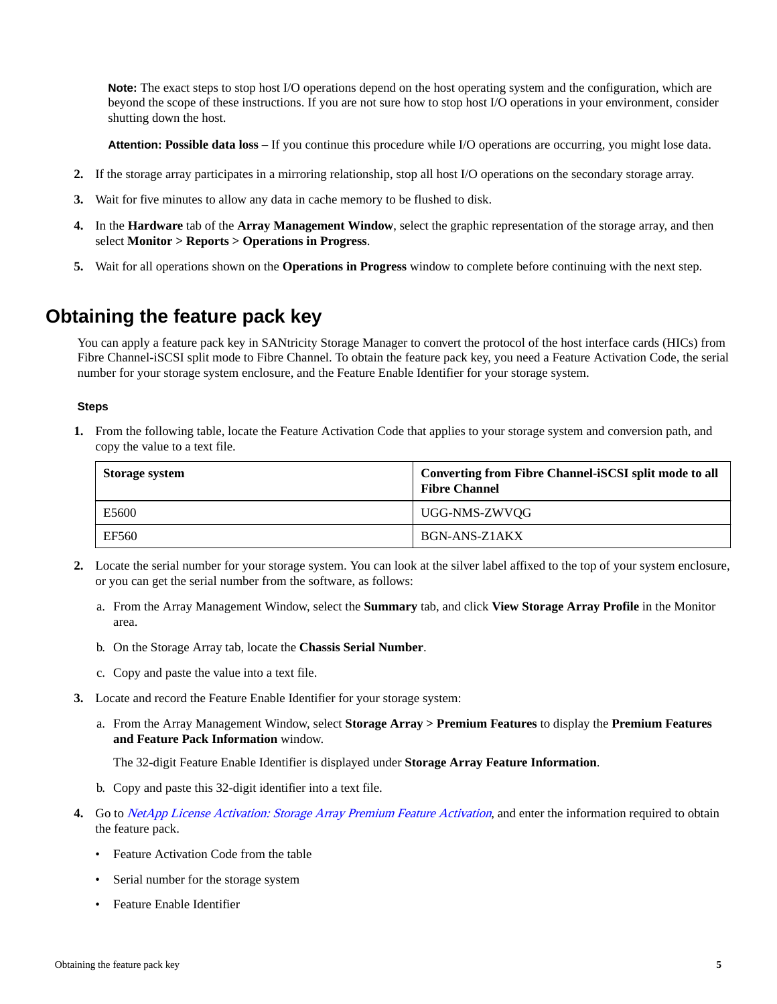<span id="page-4-0"></span>**Note:** The exact steps to stop host I/O operations depend on the host operating system and the configuration, which are beyond the scope of these instructions. If you are not sure how to stop host I/O operations in your environment, consider shutting down the host.

**Attention: Possible data loss** – If you continue this procedure while I/O operations are occurring, you might lose data.

- **2.** If the storage array participates in a mirroring relationship, stop all host I/O operations on the secondary storage array.
- **3.** Wait for five minutes to allow any data in cache memory to be flushed to disk.
- **4.** In the **Hardware** tab of the **Array Management Window**, select the graphic representation of the storage array, and then select **Monitor > Reports > Operations in Progress**.
- **5.** Wait for all operations shown on the **Operations in Progress** window to complete before continuing with the next step.

### **Obtaining the feature pack key**

You can apply a feature pack key in SANtricity Storage Manager to convert the protocol of the host interface cards (HICs) from Fibre Channel-iSCSI split mode to Fibre Channel. To obtain the feature pack key, you need a Feature Activation Code, the serial number for your storage system enclosure, and the Feature Enable Identifier for your storage system.

### **Steps**

**1.** From the following table, locate the Feature Activation Code that applies to your storage system and conversion path, and copy the value to a text file.

| Storage system | Converting from Fibre Channel-iSCSI split mode to all<br><b>Fibre Channel</b> |
|----------------|-------------------------------------------------------------------------------|
| E5600          | UGG-NMS-ZWVQG                                                                 |
| EF560          | BGN-ANS-Z1AKX                                                                 |

- **2.** Locate the serial number for your storage system. You can look at the silver label affixed to the top of your system enclosure, or you can get the serial number from the software, as follows:
	- a. From the Array Management Window, select the **Summary** tab, and click **View Storage Array Profile** in the Monitor area.
	- b. On the Storage Array tab, locate the **Chassis Serial Number**.
	- c. Copy and paste the value into a text file.
- **3.** Locate and record the Feature Enable Identifier for your storage system:
	- a. From the Array Management Window, select **Storage Array > Premium Features** to display the **Premium Features and Feature Pack Information** window.

The 32-digit Feature Enable Identifier is displayed under **Storage Array Feature Information**.

- b. Copy and paste this 32-digit identifier into a text file.
- **4.** Go to [NetApp License Activation: Storage Array Premium Feature Activation](http://partnerspfk.netapp.com), and enter the information required to obtain the feature pack.
	- Feature Activation Code from the table
	- Serial number for the storage system
	- Feature Enable Identifier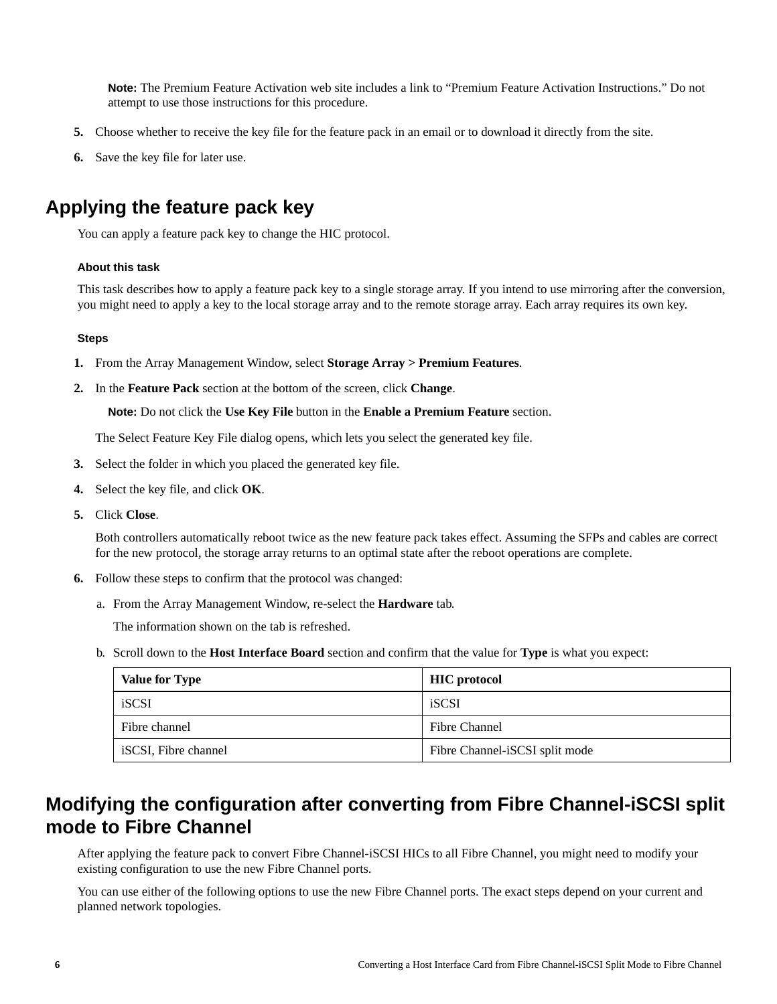<span id="page-5-0"></span>**Note:** The Premium Feature Activation web site includes a link to "Premium Feature Activation Instructions." Do not attempt to use those instructions for this procedure.

- **5.** Choose whether to receive the key file for the feature pack in an email or to download it directly from the site.
- **6.** Save the key file for later use.

## **Applying the feature pack key**

You can apply a feature pack key to change the HIC protocol.

### **About this task**

This task describes how to apply a feature pack key to a single storage array. If you intend to use mirroring after the conversion, you might need to apply a key to the local storage array and to the remote storage array. Each array requires its own key.

### **Steps**

- **1.** From the Array Management Window, select **Storage Array > Premium Features**.
- **2.** In the **Feature Pack** section at the bottom of the screen, click **Change**.

**Note:** Do not click the **Use Key File** button in the **Enable a Premium Feature** section.

The Select Feature Key File dialog opens, which lets you select the generated key file.

- **3.** Select the folder in which you placed the generated key file.
- **4.** Select the key file, and click **OK**.
- **5.** Click **Close**.

Both controllers automatically reboot twice as the new feature pack takes effect. Assuming the SFPs and cables are correct for the new protocol, the storage array returns to an optimal state after the reboot operations are complete.

- **6.** Follow these steps to confirm that the protocol was changed:
	- a. From the Array Management Window, re-select the **Hardware** tab.

The information shown on the tab is refreshed.

b. Scroll down to the **Host Interface Board** section and confirm that the value for **Type** is what you expect:

| <b>Value for Type</b> | <b>HIC</b> protocol            |
|-----------------------|--------------------------------|
| iSCSI                 | iSCSI                          |
| Fibre channel         | Fibre Channel                  |
| iSCSI, Fibre channel  | Fibre Channel-iSCSI split mode |

### **Modifying the configuration after converting from Fibre Channel-iSCSI split mode to Fibre Channel**

After applying the feature pack to convert Fibre Channel-iSCSI HICs to all Fibre Channel, you might need to modify your existing configuration to use the new Fibre Channel ports.

You can use either of the following options to use the new Fibre Channel ports. The exact steps depend on your current and planned network topologies.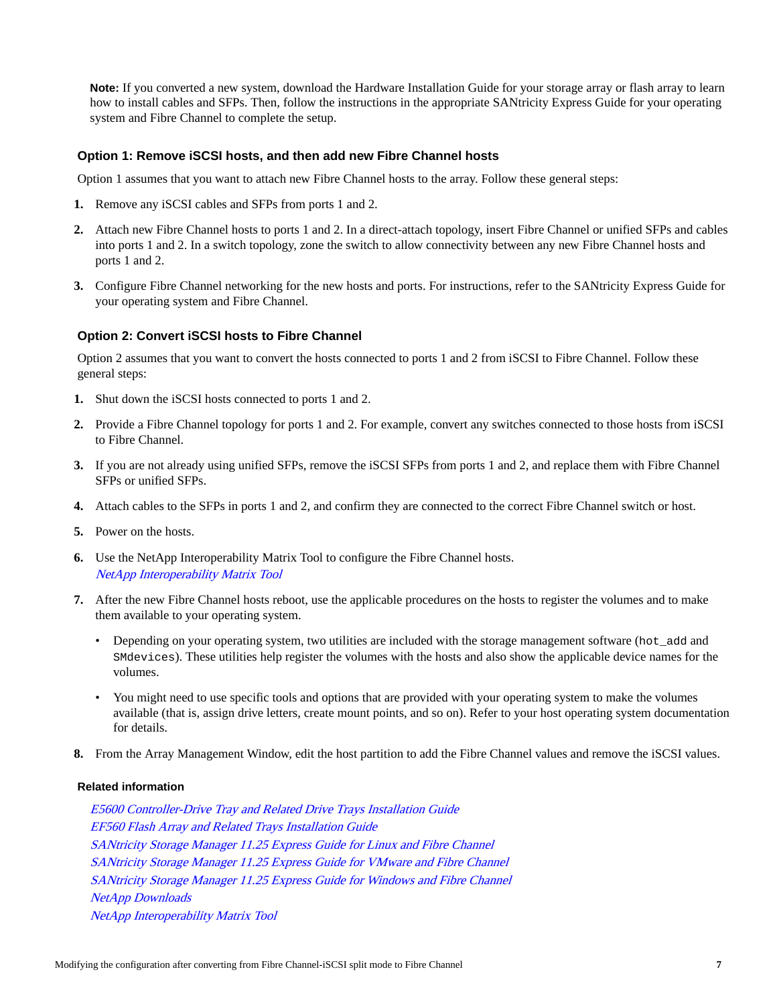**Note:** If you converted a new system, download the Hardware Installation Guide for your storage array or flash array to learn how to install cables and SFPs. Then, follow the instructions in the appropriate SANtricity Express Guide for your operating system and Fibre Channel to complete the setup.

### **Option 1: Remove iSCSI hosts, and then add new Fibre Channel hosts**

Option 1 assumes that you want to attach new Fibre Channel hosts to the array. Follow these general steps:

- **1.** Remove any iSCSI cables and SFPs from ports 1 and 2.
- **2.** Attach new Fibre Channel hosts to ports 1 and 2. In a direct-attach topology, insert Fibre Channel or unified SFPs and cables into ports 1 and 2. In a switch topology, zone the switch to allow connectivity between any new Fibre Channel hosts and ports 1 and 2.
- **3.** Configure Fibre Channel networking for the new hosts and ports. For instructions, refer to the SANtricity Express Guide for your operating system and Fibre Channel.

### **Option 2: Convert iSCSI hosts to Fibre Channel**

Option 2 assumes that you want to convert the hosts connected to ports 1 and 2 from iSCSI to Fibre Channel. Follow these general steps:

- **1.** Shut down the iSCSI hosts connected to ports 1 and 2.
- **2.** Provide a Fibre Channel topology for ports 1 and 2. For example, convert any switches connected to those hosts from iSCSI to Fibre Channel.
- **3.** If you are not already using unified SFPs, remove the iSCSI SFPs from ports 1 and 2, and replace them with Fibre Channel SFPs or unified SFPs.
- **4.** Attach cables to the SFPs in ports 1 and 2, and confirm they are connected to the correct Fibre Channel switch or host.
- **5.** Power on the hosts.
- **6.** Use the NetApp Interoperability Matrix Tool to configure the Fibre Channel hosts. [NetApp Interoperability Matrix Tool](http://mysupport.netapp.com/matrix)
- **7.** After the new Fibre Channel hosts reboot, use the applicable procedures on the hosts to register the volumes and to make them available to your operating system.
	- Depending on your operating system, two utilities are included with the storage management software (hot\_add and SMdevices). These utilities help register the volumes with the hosts and also show the applicable device names for the volumes.
	- You might need to use specific tools and options that are provided with your operating system to make the volumes available (that is, assign drive letters, create mount points, and so on). Refer to your host operating system documentation for details.
- **8.** From the Array Management Window, edit the host partition to add the Fibre Channel values and remove the iSCSI values.

### **Related information**

[E5600 Controller-Drive Tray and Related Drive Trays Installation Guide](https://library.netapp.com/ecm/ecm_download_file/ECMP1532527) [EF560 Flash Array and Related Trays Installation Guide](https://library.netapp.com/ecm/ecm_download_file/ECMP1532580) [SANtricity Storage Manager 11.25 Express Guide for Linux and Fibre Channel](https://library.netapp.com/ecm/ecm_download_file/ECMP12409283) [SANtricity Storage Manager 11.25 Express Guide for VMware and Fibre Channel](https://library.netapp.com/ecm/ecm_download_file/ECMP12409272) [SANtricity Storage Manager 11.25 Express Guide for Windows and Fibre Channel](https://library.netapp.com/ecm/ecm_download_file/ECMP12407753) [NetApp Downloads](http://mysupport.netapp.com/eservice/Download.jsp/) [NetApp Interoperability Matrix Tool](http://mysupport.netapp.com/matrix)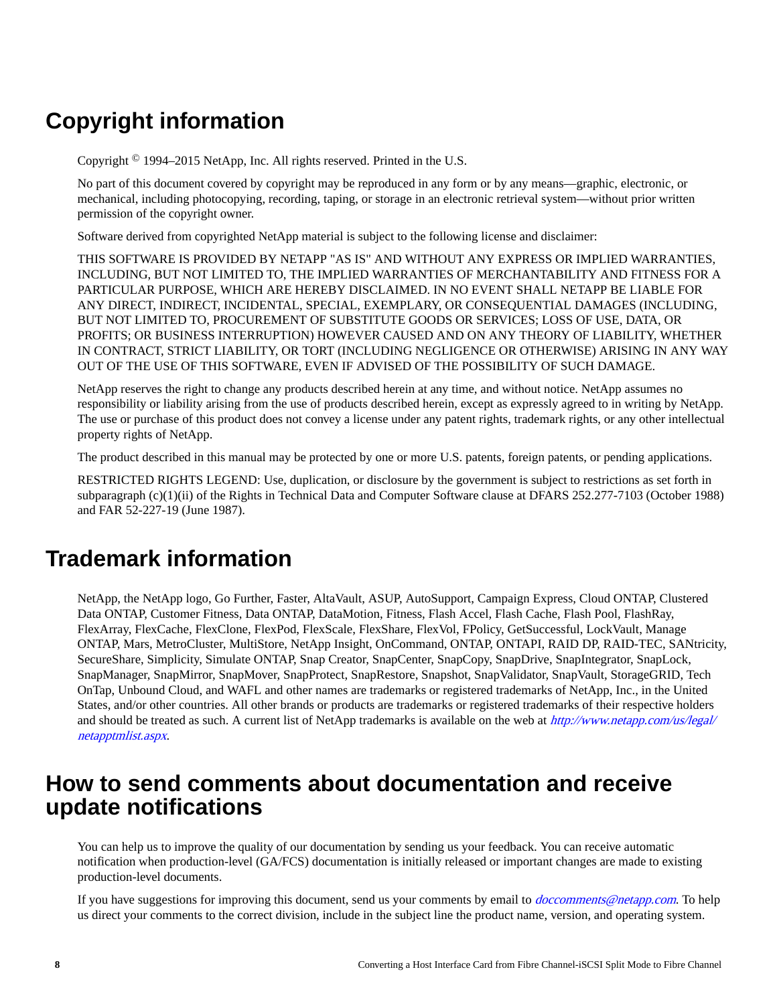# **Copyright information**

Copyright © 1994–2015 NetApp, Inc. All rights reserved. Printed in the U.S.

No part of this document covered by copyright may be reproduced in any form or by any means—graphic, electronic, or mechanical, including photocopying, recording, taping, or storage in an electronic retrieval system—without prior written permission of the copyright owner.

Software derived from copyrighted NetApp material is subject to the following license and disclaimer:

THIS SOFTWARE IS PROVIDED BY NETAPP "AS IS" AND WITHOUT ANY EXPRESS OR IMPLIED WARRANTIES, INCLUDING, BUT NOT LIMITED TO, THE IMPLIED WARRANTIES OF MERCHANTABILITY AND FITNESS FOR A PARTICULAR PURPOSE, WHICH ARE HEREBY DISCLAIMED. IN NO EVENT SHALL NETAPP BE LIABLE FOR ANY DIRECT, INDIRECT, INCIDENTAL, SPECIAL, EXEMPLARY, OR CONSEQUENTIAL DAMAGES (INCLUDING, BUT NOT LIMITED TO, PROCUREMENT OF SUBSTITUTE GOODS OR SERVICES; LOSS OF USE, DATA, OR PROFITS; OR BUSINESS INTERRUPTION) HOWEVER CAUSED AND ON ANY THEORY OF LIABILITY, WHETHER IN CONTRACT, STRICT LIABILITY, OR TORT (INCLUDING NEGLIGENCE OR OTHERWISE) ARISING IN ANY WAY OUT OF THE USE OF THIS SOFTWARE, EVEN IF ADVISED OF THE POSSIBILITY OF SUCH DAMAGE.

NetApp reserves the right to change any products described herein at any time, and without notice. NetApp assumes no responsibility or liability arising from the use of products described herein, except as expressly agreed to in writing by NetApp. The use or purchase of this product does not convey a license under any patent rights, trademark rights, or any other intellectual property rights of NetApp.

The product described in this manual may be protected by one or more U.S. patents, foreign patents, or pending applications.

RESTRICTED RIGHTS LEGEND: Use, duplication, or disclosure by the government is subject to restrictions as set forth in subparagraph (c)(1)(ii) of the Rights in Technical Data and Computer Software clause at DFARS 252.277-7103 (October 1988) and FAR 52-227-19 (June 1987).

# **Trademark information**

NetApp, the NetApp logo, Go Further, Faster, AltaVault, ASUP, AutoSupport, Campaign Express, Cloud ONTAP, Clustered Data ONTAP, Customer Fitness, Data ONTAP, DataMotion, Fitness, Flash Accel, Flash Cache, Flash Pool, FlashRay, FlexArray, FlexCache, FlexClone, FlexPod, FlexScale, FlexShare, FlexVol, FPolicy, GetSuccessful, LockVault, Manage ONTAP, Mars, MetroCluster, MultiStore, NetApp Insight, OnCommand, ONTAP, ONTAPI, RAID DP, RAID-TEC, SANtricity, SecureShare, Simplicity, Simulate ONTAP, Snap Creator, SnapCenter, SnapCopy, SnapDrive, SnapIntegrator, SnapLock, SnapManager, SnapMirror, SnapMover, SnapProtect, SnapRestore, Snapshot, SnapValidator, SnapVault, StorageGRID, Tech OnTap, Unbound Cloud, and WAFL and other names are trademarks or registered trademarks of NetApp, Inc., in the United States, and/or other countries. All other brands or products are trademarks or registered trademarks of their respective holders and should be treated as such. A current list of NetApp trademarks is available on the web at [http://www.netapp.com/us/legal/](http://www.netapp.com/us/legal/netapptmlist.aspx) [netapptmlist.aspx](http://www.netapp.com/us/legal/netapptmlist.aspx).

## **How to send comments about documentation and receive update notifications**

You can help us to improve the quality of our documentation by sending us your feedback. You can receive automatic notification when production-level (GA/FCS) documentation is initially released or important changes are made to existing production-level documents.

If you have suggestions for improving this document, send us your comments by email to *[doccomments@netapp.com](mailto:doccomments@netapp.com)*. To help us direct your comments to the correct division, include in the subject line the product name, version, and operating system.